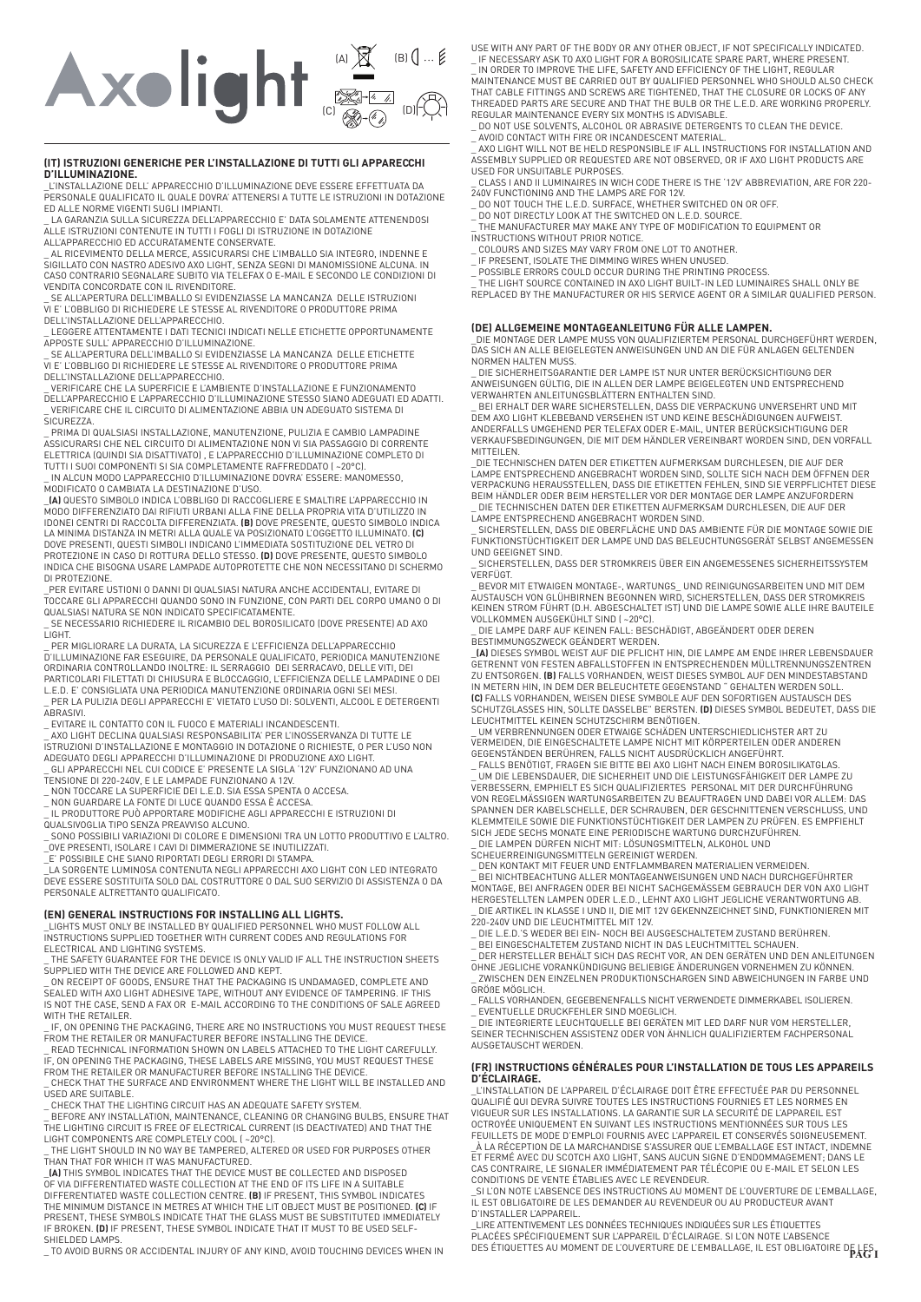# $(A)$   $\cancel{X}$   $(B)$  $(C)$   $\otimes$   $\otimes$   $(D)$

## **(IT) ISTRUZIONI GENERICHE PER L'INSTALLAZIONE DI TUTTI GLI APPARECCHI D'ILLUMINAZIONE.**

\_L'INSTALLAZIONE DELL' APPARECCHIO D'ILLUMINAZIONE DEVE ESSERE EFFETTUATA DA PERSONALE QUALIFICATO IL QUALE DOVRA' ATTENERSI A TUTTE LE ISTRUZIONI IN DOTAZIONE ED ALLE NORME VIGENTI SUGLI IMPIANTI.

\_ LA GARANZIA SULLA SICUREZZA DELL'APPARECCHIO E' DATA SOLAMENTE ATTENENDOSI ALLE ISTRUZIONI CONTENUTE IN TUTTI I FOGLI DI ISTRUZIONE IN DOTAZIONE

ALL'APPARECCHIO ED ACCURATAMENTE CONSERVATE.<br>\_ AL RICEVIMENTO DELLA MERCE, ASSICURARSI CHE L'IMBALLO SIA INTEGRO, INDENNE E<br>SIGILLATO CON NASTRO ADESIVO AXO LIGHT, SENZA SEGNI DI MANOMISSIONE ALCUNA. IN CASO CONTRARIO SEGNALARE SUBITO VIA TELEFAX O E-MAIL E SECONDO LE CONDIZIONI DI VENDITA CONCORDATE CON IL RIVENDITORE.

\_ SE ALL'APERTURA DELL'IMBALLO SI EVIDENZIASSE LA MANCANZA DELLE ISTRUZIONI VI E' L'OBBLIGO DI RICHIEDERE LE STESSE AL RIVENDITORE O PRODUTTORE PRIMA

DELL'INSTALLAZIONE DELL'APPARECCHIO. \_ LEGGERE ATTENTAMENTE I DATI TECNICI INDICATI NELLE ETICHETTE OPPORTUNAMENTE APPOSTE SULL' APPARECCHIO D'ILLUMINAZIONE.

\_ SE ALL'APERTURA DELL'IMBALLO SI EVIDENZIASSE LA MANCANZA DELLE ETICHETTE VI E' L'OBBLIGO DI RICHIEDERE LE STESSE AL RIVENDITORE O PRODUTTORE PRIMA

DELL'INSTALLAZIONE DELL'APPARECCHIO. \_ VERIFICARE CHE LA SUPERFICIE E L'AMBIENTE D'INSTALLAZIONE E FUNZIONAMENTO DELL'APPARECCHIO E L'APPARECCHIO D'ILLUMINAZIONE STESSO SIANO ADEGUATI ED ADATTI. VERIFICARE CHE IL CIRCUITO DI ALIMENTAZIONE ABBIA UN ADEGUATO SISTEMA DI SICUREZZA.

\_ PRIMA DI QUALSIASI INSTALLAZIONE, MANUTENZIONE, PULIZIA E CAMBIO LAMPADINE ASSICURARSI CHE NEL CIRCUITO DI ALIMENTAZIONE NON VI SIA PASSAGGIO DI CORRENTE ELETTRICA (QUINDI SIA DISATTIVATO) , E L'APPARECCHIO D'ILLUMINAZIONE COMPLETO DI TUTTI I SUOI COMPONENTI SI SIA COMPLETAMENTE RAFFREDDATO ( ~20°C).

\_ IN ALCUN MODO L'APPARECCHIO D'ILLUMINAZIONE DOVRA' ESSERE: MANOMESSO, MODIFICATO O CAMBIATA LA DESTINAZIONE D'USO. \_**(A)** QUESTO SIMBOLO INDICA L'OBBLIGO DI RACCOGLIERE E SMALTIRE L'APPARECCHIO IN

MODO DIFFERENZIATO DAI RIFIUTI URBANI ALLA FINE DELLA PROPRIA VITA D'UTILIZZO IN<br>IDONEI CENTRI DI RACCOLTA DIFFERENZIATA. **(B)** DOVE PRESENTE, QUESTO SIMBOLO INDICA<br>LA MINIMA DISTANZA IN METRI ALLA QUALE VA POSIZIONATO L'O INDICA CHE BISOGNA USARE LAMPADE AUTOPROTETTE CHE NON NECESSITANO DI SCHERMO DI PROTEZIONE.

\_PER EVITARE USTIONI O DANNI DI QUALSIASI NATURA ANCHE ACCIDENTALI, EVITARE DI<br>TOCCARE GLI APPARECCHI QUANDO SONO IN FUNZIONE, CON PARTI DEL CORPO UMANO O DI<br>QUALSIASI NATURA SE NON INDICATO SPECIFICATAMENTE.

SE NECESSARIO RICHIEDERE IL RICAMBIO DEL BOROSILICATO (DOVE PRESENTE) AD AXO LIGHT.

\_ PER MIGLIORARE LA DURATA, LA SICUREZZA E L'EFFICIENZA DELL'APPARECCHIO<br>D'ILLUMINAZIONE FAR ESEGUIRE, DA PERSONALE QUALIFICATO, PERIODICA MANUTENZIONE<br>ORDINARIA CONTROLLANDO INOLTRE: IL SERRAGGIO DEI SERRACAVO, DELLE VITI

\_ PER LA PULIZIA DEGLI APPARECCHI E' VIETATO L'USO DI: SOLVENTI, ALCOOL E DETERGENTI ABRASIVI.

\_ EVITARE IL CONTATTO CON IL FUOCO E MATERIALI INCANDESCENTI. \_ AXO LIGHT DECLINA QUALSIASI RESPONSABILITA' PER L'INOSSERVANZA DI TUTTE LE ISTRUZIONI D'INSTALLAZIONE E MONTAGGIO IN DOTAZIONE O RICHIESTE, O PER L'USO NON ADEGUATO DEGLI APPARECCHI D'ILLUMINAZIONE DI PRODUZIONE AXO LIGHT. \_ GLI APPARECCHI NEL CUI CODICE E' PRESENTE LA SIGLA '12V' FUNZIONANO AD UNA

TENSIONE DI 220-240V, E LE LAMPADE FUNZIONANO A 12V. \_ NON TOCCARE LA SUPERFICIE DEI L.E.D. SIA ESSA SPENTA O ACCESA.

\_ NON GUARDARE LA FONTE DI LUCE QUANDO ESSA È ACCESA.<br>\_ IL PRODUTTORE PUÒ APPORTARE MODIFICHE AGLI APPARECCHI E ISTRUZIONI DI<br>QUALSIVOGLIA TIPO SENZA PREAVVISO ALCUNO.

\_ SONO POSSIBILI VARIAZIONI DI COLORE E DIMENSIONI TRA UN LOTTO PRODUTTIVO E L'ALTRO. \_OVE PRESENTI, ISOLARE I CAVI DI DIMMERAZIONE SE INUTILIZZATI.

\_E' POSSIBILE CHE SIANO RIPORTATI DEGLI ERRORI DI STAMPA. \_LA SORGENTE LUMINOSA CONTENUTA NEGLI APPARECCHI AXO LIGHT CON LED INTEGRATO DEVE ESSERE SOSTITUITA SOLO DAL COSTRUTTORE O DAL SUO SERVIZIO DI ASSISTENZA O DA PERSONALE ALTRETTANTO QUALIFICATO.

### **(EN) GENERAL INSTRUCTIONS FOR INSTALLING ALL LIGHTS.**

\_LIGHTS MUST ONLY BE INSTALLED BY QUALIFIED PERSONNEL WHO MUST FOLLOW ALL INSTRUCTIONS SUPPLIED TOGETHER WITH CURRENT CODES AND REGULATIONS FOR ELECTRICAL AND LIGHTING SYSTEMS. \_ THE SAFETY GUARANTEE FOR THE DEVICE IS ONLY VALID IF ALL THE INSTRUCTION SHEETS

SUPPLIED WITH THE DEVICE ARE FOLLOWED AND KEPT. \_ ON RECEIPT OF GOODS, ENSURE THAT THE PACKAGING IS UNDAMAGED, COMPLETE AND

SEALED WITH AXO LIGHT ADHESIVE TAPE, WITHOUT ANY EVIDENCE OF TAMPERING. IF THIS IS NOT THE CASE, SEND A FAX OR E-MAIL ACCORDING TO THE CONDITIONS OF SALE AGREED WITH THE RETAILER.

\_ IF, ON OPENING THE PACKAGING, THERE ARE NO INSTRUCTIONS YOU MUST REQUEST THESE<br>\_ READ TECHNICAL INFORMATION SHOWN ON LABELS ATTACHED TO THE LIGHT CAREFULLY.<br>\_ READ TECHNICAL INFORMATION SHOWN ON LABELS ATTACHED TO THE LI

\_ CHECK THAT THE SURFACE AND ENVIRONMENT WHERE THE LIGHT WILL BE INSTALLED AND USED ARE SUITABLE.

\_ CHECK THAT THE LIGHTING CIRCUIT HAS AN ADEQUATE SAFETY SYSTEM. \_ BEFORE ANY INSTALLATION, MAINTENANCE, CLEANING OR CHANGING BULBS, ENSURE THAT THE LIGHTING CIRCUIT IS FREE OF ELECTRICAL CURRENT (IS DEACTIVATED) AND THAT THE

LIGHT COMPONENTS ARE COMPLETELY COOL ( ~20°C). \_ THE LIGHT SHOULD IN NO WAY BE TAMPERED, ALTERED OR USED FOR PURPOSES OTHER

THAN THAT FOR WHICH IT WAS MANUFACTURED. \_**(A)** THIS SYMBOL INDICATES THAT THE DEVICE MUST BE COLLECTED AND DISPOSED OF VIA DIFFERENTIATED WASTE COLLECTION AT THE END OF ITS LIFE IN A SUITABLE DIFFERENTIATED WASTE COLLECTION CENTRE. **(B)** IF PRESENT, THIS SYMBOL INDICATES THE MINIMUM DISTANCE IN METRES AT WHICH THE LIT OBJECT MUST BE POSITIONED. **(C)** IF PRESENT, THESE SYMBOLS INDICATE THAT THE GLASS MUST BE SUBSTITUTED IMMEDIATELY IF BROKEN. **(D)** IF PRESENT, THESE SYMBOL INDICATE THAT IT MUST TO BE USED SELF-

SHIELDED LAMPS. \_ TO AVOID BURNS OR ACCIDENTAL INJURY OF ANY KIND, AVOID TOUCHING DEVICES WHEN IN

USE WITH ANY PART OF THE BODY OR ANY OTHER OBJECT, IF NOT SPECIFICALLY INDICATED.

\_ IF NECESSARY ASK TO AXO LIGHT FOR A BOROSILICATE SPARE PART, WHERE PRESENT.<br>\_ IN ORDER TO IMPROVE THE LIFE, SAFETY AND EFFICIENCY OF THE LIGHT, REGULAR<br>MAINTENANCE MUST BE CARRIED OUT BY QUALIFIED PERSONNEL WHO SHOULD AL THREADED PARTS ARE SECURE AND THAT THE BULB OR THE L.E.D. ARE WORKING PROPERLY. REGULAR MAINTENANCE EVERY SIX MONTHS IS ADVISABLE.

\_ DO NOT USE SOLVENTS, ALCOHOL OR ABRASIVE DETERGENTS TO CLEAN THE DEVICE.

\_ AVOID CONTACT WITH FIRE OR INCANDESCENT MATERIAL. \_ AXO LIGHT WILL NOT BE HELD RESPONSIBLE IF ALL INSTRUCTIONS FOR INSTALLATION AND ASSEMBLY SUPPLIED OR REQUESTED ARE NOT OBSERVED, OR IF AXO LIGHT PRODUCTS ARE USED FOR UNSUITABLE PURPOSES.

\_ CLASS I AND II LUMINAIRES IN WICH CODE THERE IS THE '12V' ABBREVIATION, ARE FOR 220-

240V FUNCTIONING AND THE LAMPS ARE FOR 12V.<br>\_ DO NOT TOUCH THE L.E.D. SURFACE, WHETHER SWITCHED ON OR OFF.<br>\_ DO NOT DIRECTLY LOOK AT THE SWITCHED ON L.E.D. SOURCE.<br>\_ THE MANUFACTURER MAY MAKE ANY TYPE OF MODIFICATION TO EQ

INSTRUCTIONS WITHOUT PRIOR NOTICE. \_ COLOURS AND SIZES MAY VARY FROM ONE LOT TO ANOTHER.

LE PRESENT, ISOLATE THE DIMMING WIRES WHEN UNUSED.

\_ POSSIBLE ERRORS COULD OCCUR DURING THE PRINTING PROCESS. \_ THE LIGHT SOURCE CONTAINED IN AXO LIGHT BUILT-IN LED LUMINAIRES SHALL ONLY BE REPLACED BY THE MANUFACTURER OR HIS SERVICE AGENT OR A SIMILAR QUALIFIED PERSON.

**(DE) ALLGEMEINE MONTAGEANLEITUNG FÜR ALLE LAMPEN.** \_DIE MONTAGE DER LAMPE MUSS VON QUALIFIZIERTEM PERSONAL DURCHGEFÜHRT WERDEN, DAS SICH AN ALLE BEIGELEGTEN ANWEISUNGEN UND AN DIE FÜR ANLAGEN GELTENDEN NORMEN HALTEN MUSS.

\_ DIE SICHERHEITSGARANTIE DER LAMPE IST NUR UNTER BERÜCKSICHTIGUNG DER ANWEISUNGEN GÜLTIG, DIE IN ALLEN DER LAMPE BEIGELEGTEN UND ENTSPRECHEND VERWAHRTEN ANLEITUNGSBLÄTTERN ENTHALTEN SIND.

\_ BEI ERHALT DER WARE SICHERSTELLEN, DASS DIE VERPACKUNG UNVERSEHRT UND MIT DEM AXO LIGHT KLEBEBAND VERSEHEN IST UND KEINE BESCHÄDIGUNGEN AUFWEIST. ANDERFALLS UMGEHEND PER TELEFAX ODER E-MAIL, UNTER BERÜCKSICHTIGUNG DER VERKAUFSBEDINGUNGEN, DIE MIT DEM HÄNDLER VEREINBART WORDEN SIND, DEN VORFALL **MITTEILEN** 

\_DIE TECHNISCHEN DATEN DER ETIKETTEN AUFMERKSAM DURCHLESEN, DIE AUF DER LAMPE ENTSPRECHEND ANGEBRACHT WORDEN SIND, SOLLTE SICH NACH DEM ÖFFNEN DER<br>VERPACKUNG HERAUSSTELLEN, DASS DIE ETIKETTEN FEHLEN, SIND SIE VERPFLICHTET DIESE<br>BEIM HÄNDLER ODER BEIM HERSTELLER VOR DER MONTAGE DER LAMPE ANZUFO \_ DIE TECHNISCHEN DATEN DER ETIKETTEN AUFMERKSAM DURCHLESEN, DIE AUF DER LAMPE ENTSPRECHEND ANGEBRACHT WORDEN SIND.

\_ SICHERSTELLEN, DASS DIE OBERFLÄCHE UND DAS AMBIENTE FÜR DIE MONTAGE SOWIE DIE FUNKTIONSTÜCHTIGKEIT DER LAMPE UND DAS BELEUCHTUNGSGERÄT SELBST ANGEMESSEN UND GEEIGNET SIND.

SICHERSTELLEN, DASS DER STROMKREIS ÜBER EIN ANGEMESSENES SICHERHEITSSYSTEM VERFÜGT.

\_ BEVOR MIT ETWAIGEN MONTAGE-, WARTUNGS\_ UND REINIGUNGSARBEITEN UND MIT DEM AUSTAUSCH VON GLUHBIRNEN BEGONNEN WIRD, SICHERSTELLEN, DASS DER STROMKREIS<br>KEINEN STROM FÜHRT (D.H. ABGESCHALTET IST) UND DIE LAMPE SOWIE ALLE IHRE BAUTEILE<br>VOLLKOMMEN AUSGEKÜHLT SIND ( –20°C).<br>\_ DIE LAMPE DARF AUF KEINEN

BESTIMMUNGSZWECK GEÄNDERT WERDEN. \_**(A)** DIESES SYMBOL WEIST AUF DIE PFLICHT HIN, DIE LAMPE AM ENDE IHRER LEBENSDAUER GETRENNT VON FESTEN ABFALLSTOFFEN IN ENTSPRECHENDEN MÜLLTRENNUNGSZENTREN ZU ENTSORGEN. **(B)** FALLS VORHANDEN, WEIST DIESES SYMBOL AUF DEN MINDESTABSTAND<br>IN METERN HIN, IN DEM DER BELEUCHTETE GEGENSTAND " GEHALTEN WERDEN SOLL.<br>**(C)** FALLS VORHANDEN, WEISEN DIESE SYMBOLE AUF DEN SOFORTIGEN AUSTAU

LEUCHTMITTEL KEINEN SCHUTZSCHIRM BENÖTIGEN.<br>\_ UM VERBRENNUNGEN ODER ETWAIGE SCHÄDEN UNTERSCHIEDLICHSTER ART ZU<br>VERMEIDEN, DIE EINGESCHALTETE LAMPE NICHT MIT KÖRPERTEILEN ODER ANDEREN GEGENSTÄNDEN BERÜHREN, FALLS NICHT AUSDRÜCKLICH ANGEFÜHRT. \_ FALLS BENÖTIGT, FRAGEN SIE BITTE BEI AXO LIGHT NACH EINEM BOROSILIKATGLAS.

\_ UM DIE LEBENSDAUER, DIE SICHERHEIT UND DIE LEISTUNGSFÄHIGKEIT DER LAMPE ZU VERBESSERN, EMPHIELT ES SICH QUALIFIZIERTES PERSONAL MIT DER DURCHFÜHRUNG VON REGELMÄSSIGEN WARTUNGSARBEITEN ZU BEAUFTRAGEN UND DABEI VOR ALLEM: DAS SPANNEN DER KABELSCHELLE, DER SCHRAUBEN, DER GESCHNITTENEN VERSCHLUSS, UND KLEMMTEILE SOWIE DIE FUNKTIONSTÜCHTIGKEIT DER LAMPEN ZU PRÜFEN. ES EMPFIEHLT SICH JEDE SECHS MONATE EINE PERIODISCHE WARTUNG DURCHZUFÜHREN.<br>\_ DIE LAMPEN DÜRFEN NICHT MIT: LÖSUNGSMITTELN, ALKOHOL UND<br>SCHEUERREINIGUNGSMITTELN GEREINIGT WERDEN.<br>\_ BEI NICHTBEACHTUNG ALLER MONTAGEANWEISUNGEN UND NACH DU

MONTAGE, BEI ANFRAGEN ODER BEI NICHT SACHGEMÄSSEM GEBRAUCH DER VON AXO LIGHT HERGESTELLTEN LAMPEN ODER L.E.D., LEHNT AXO LIGHT JEGLICHE VERANTWORTUNG AB. \_ DIE ARTIKEL IN KLASSE I UND II, DIE MIT 12V GEKENNZEICHNET SIND, FUNKTIONIEREN MIT

220-240V UND DIE LEUCHTMITTEL MIT 12V. \_ DIE L.E.D.'S WEDER BEI EIN- NOCH BEI AUSGESCHALTETEM ZUSTAND BERÜHREN.

\_ BEI EINGESCHALTETEM ZUSTAND NICHT IN DAS LEUCHTMITTEL SCHAUEN. \_ DER HERSTELLER BEHÄLT SICH DAS RECHT VOR, AN DEN GERÄTEN UND DEN ANLEITUNGEN OHNE JEGLICHE VORANKÜNDIGUNG BELIEBIGE ÄNDERUNGEN VORNEHMEN ZU KÖNNEN.

ZWISCHEN DEN EINZELNEN PRODUKTIONSCHARGEN SIND ABWEICHUNGEN IN FARBE UND GRÖßE MÖGLICH.

\_ FALLS VORHANDEN, GEGEBENENFALLS NICHT VERWENDETE DIMMERKABEL ISOLIEREN. EVENTUELLE DRUCKFEHLER SIND MOEGLICH.

\_ DIE INTEGRIERTE LEUCHTQUELLE BEI GERÄTEN MIT LED DARF NUR VOM HERSTELLER, SEINER TECHNISCHEN ASSISTENZ ODER VON ÄHNLICH QUALIFIZIERTEM FACHPERSONAL AUSGETAUSCHT WERDEN.

# **(FR) INSTRUCTIONS GÉNÉRALES POUR L'INSTALLATION DE TOUS LES APPAREILS D'ÉCLAIRAGE.** \_L'INSTALLATION DE L'APPAREIL D'ÉCLAIRAGE DOIT ÊTRE EFFECTUÉE PAR DU PERSONNEL

QUALIFIÉ QUI DEVRA SUIVRE TOUTES LES INSTRUCTIONS FOURNIES ET LES NORMES EN<br>VIGUEUR SUR LES INSTALLATIONS. LA GARANTIE SUR LA SECURITÉ DE L'APPAREIL EST OCTROYEE UNIQUEMENT EN SUIVANT LES INSTRUCTIONS MENTIONNEES SUR TOUS LES<br>FEUILLETS DE MODE D'EMPLOI FOURNIS AVEC L'APPAREIL ET CONSERVÉS SOIGNEUSEMENT.<br>\_À LA RÉCEPTION DE LA MARCHANDISE S'ASSURER QUE L'EMBALLAGE EST INTACT ET FERMÉ AVEC DU SCOTCH AXO LIGHT, SANS AUCUN SIGNE D'ENDOMMAGEMENT; DANS LE CAS CONTRAIRE, LE SIGNALER IMMÉDIATEMENT PAR TÉLÉCOPIE OU E-MAIL ET SELON LES

CONDITIONS DE VENTE ÉTABLIES AVEC LE REVENDEUR.

\_SI L'ON NOTE L'ABSENCE DES INSTRUCTIONS AU MOMENT DE L'OUVERTURE DE L'EMBALLAGE, IL EST OBLIGATOIRE DE LES DEMANDER AU REVENDEUR OU AU PRODUCTEUR AVANT D'INSTALLER L'APPAREIL. \_LIRE ATTENTIVEMENT LES DONNÉES TECHNIQUES INDIQUÉES SUR LES ÉTIQUETTES

PLACÉES SPÉCIFIQUEMENT SUR L'APPAREIL D'ÉCLAIRAGE. SI L'ON NOTE L'ABSENCE DES ÉTIQUETTES AU MOMENT DE L'OUVERTURE DE L'EMBALLAGE, IL EST OBLIGATOIRE DE LES **PAG I**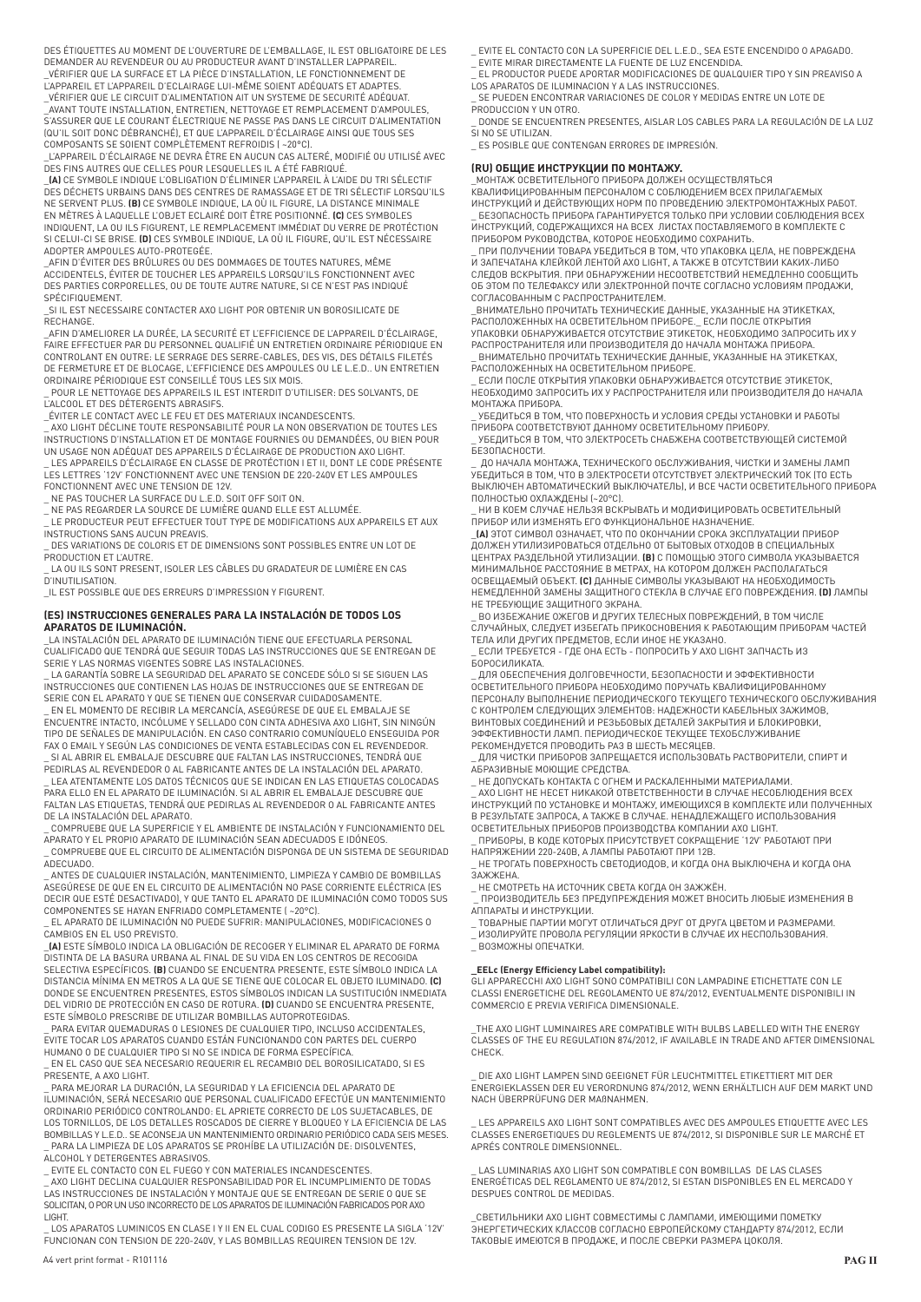DES ÉTIQUETTES AU MOMENT DE L'OUVERTURE DE L'EMBALLAGE, IL EST OBLIGATOIRE DE LES DEMANDER AU REVENDEUR OU AU PRODUCTEUR AVANT D'INSTALLER L'APPAREIL. \_VÉRIFIER QUE LA SURFACE ET LA PIÈCE D'INSTALLATION, LE FONCTIONNEMENT DE

L'APPAREIL ET L'APPAREIL D'ECLAIRAGE LUI-MÊME SOIENT ADÉQUATS ET ADAPTES. \_VÉRIFIER QUE LE CIRCUIT D'ALIMENTATION AIT UN SYSTEME DE SECURITÉ ADÉQUAT. \_AVANT TOUTE INSTALLATION, ENTRETIEN, NETTOYAGE ET REMPLACEMENT D'AMPOULES, S'ASSURER QUE LE COURANT ÉLECTRIQUE NE PASSE PAS DANS LE CIRCUIT D'ALIMENTATION (QU'IL SOIT DONC DÉBRANCHÉ), ET QUE L'APPAREIL D'ÉCLAIRAGE AINSI QUE TOUS SES COMPOSANTS SE SOIENT COMPLÈTEMENT REFROIDIS ( ~20°C).

\_L'APPAREIL D'ÉCLAIRAGE NE DEVRA ÊTRE EN AUCUN CAS ALTERÉ, MODIFIÉ OU UTILISÉ AVEC DES FINS AUTRES QUE CELLES POUR LESQUELLES IL A ÉTÉ FABRIQUÉ.

\_**(A)** CE SYMBOLE INDIQUE L'OBLIGATION D'ÉLIMINER L'APPAREIL À L'AIDE DU TRI SÉLECTIF DES DÉCHETS URBAINS DANS DES CENTRES DE RAMASSAGE ET DE TRI SÉLECTIF LORSQU'ILS NE SERVENT PLUS. **(B)** CE SYMBOLE INDIQUE, LA OÙ IL FIGURE, LA DISTANCE MINIMALE EN MÈTRES À LAQUELLE L'OBJET ECLAIRÉ DOIT ÊTRE POSITIONNÉ. **(C)** CES SYMBOLES INDIQUENT, LA OU ILS FIGURENT, LE REMPLACEMENT IMMÉDIAT DU VERRE DE PROTÉCTION SI CELUI-CI SE BRISE. **(D)** CES SYMBOLE INDIQUE, LA OÙ IL FIGURE, QU'IL EST NÉCESSAIRE ADOPTER AMPOULES AUTO-PROTEGÉE.

\_AFIN D'ÉVITER DES BRÛLURES OU DES DOMMAGES DE TOUTES NATURES, MÊME ACCIDENTELS, ÉVITER DE TOUCHER LES APPAREILS LORSQU'ILS FONCTIONNENT AVEC DES PARTIES CORPORELLES, OU DE TOUTE AUTRE NATURE, SI CE N'EST PAS INDIQUÉ SPÉCIFIQUEMENT.

\_SI IL EST NECESSAIRE CONTACTER AXO LIGHT POR OBTENIR UN BOROSILICATE DE RECHANGE.

\_AFIN D'AMELIORER LA DURÉE, LA SECURITÉ ET L'EFFICIENCE DE L'APPAREIL D'ÉCLAIRAGE,<br>FAIRE EFFECTUER PAR DU PERSONNEL QUALIFIÉ UN ENTRETIEN ORDINAIRE PÉRIODIQUE EN<br>CONTROLANT EN OUTRE: LE SERRAGE DES SERRE-CABLES, DES VIS, D DE FERMETURE ET DE BLOCAGE, L'EFFICIENCE DES AMPOULES OU LE L.E.D.. UN ENTRETIEN

ORDINAIRE PÉRIODIQUE EST CONSEILLÉ TOUS LES SIX MOIS. \_ POUR LE NETTOYAGE DES APPAREILS IL EST INTERDIT D'UTILISER: DES SOLVANTS, DE L'ALCOOL ET DES DÉTERGENTS ABRASIFS.

\_ÉVITER LE CONTACT AVEC LE FEU ET DES MATERIAUX INCANDESCENTS.

\_ AXO LIGHT DÉCLINE TOUTE RESPONSABILITÉ POUR LA NON OBSERVATION DE TOUTES LES INSTRUCTIONS D'INSTALLATION ET DE MONTAGE FOURNIES OU DEMANDÉES, OU BIEN POUR UN USAGE NON ADÉQUAT DES APPAREILS D'ÉCLAIRAGE DE PRODUCTION AXO LIGHT.

\_ LES APPAREILS D'ÉCLAIRAGE EN CLASSE DE PROTÉCTION I ET II, DONT LE CODE PRÉSENTE LES LETTRES '12V' FONCTIONNENT AVEC UNE TENSION DE 220-240V ET LES AMPOULES FONCTIONNENT AVEC UNE TENSION DE 12V.

\_ NE PAS TOUCHER LA SURFACE DU L.E.D. SOIT OFF SOIT ON. \_ NE PAS REGARDER LA SOURCE DE LUMIÈRE QUAND ELLE EST ALLUMÉE.

\_ LE PRODUCTEUR PEUT EFFECTUER TOUT TYPE DE MODIFICATIONS AUX APPAREILS ET AUX INSTRUCTIONS SANS AUCUN PREAVIS.

\_ DES VARIATIONS DE COLORIS ET DE DIMENSIONS SONT POSSIBLES ENTRE UN LOT DE PRODUCTION ET L'AUTRE.

\_ LA OU ILS SONT PRESENT, ISOLER LES CÂBLES DU GRADATEUR DE LUMIÈRE EN CAS D'INUTILISATION.

\_IL EST POSSIBLE QUE DES ERREURS D'IMPRESSION Y FIGURENT.

# **(ES) INSTRUCCIONES GENERALES PARA LA INSTALACIÓN DE TODOS LOS**

**APARATOS DE ILUMINACIÓN.**<br>\_LA INSTALACIÓN DEL APARATO DE ILUMINACIÓN TIENE QUE EFECTUARLA PERSONAL CUALIFICADO QUE TENDRÁ QUE SEGUIR TODAS LAS INSTRUCCIONES QUE SE ENTREGAN DE

SERIE Y LAS NORMAS VIGENTES SOBRE LAS INSTALACIONES. \_ LA GARANTÍA SOBRE LA SEGURIDAD DEL APARATO SE CONCEDE SÓLO SI SE SIGUEN LAS INSTRUCCIONES QUE CONTIENEN LAS HOJAS DE INSTRUCCIONES QUE SE ENTREGAN DE SERIE CON EL APARATO Y QUE SE TIENEN QUE CONSERVAR CUIDADOSAMENTE.

\_ EN EL MOMENTO DE RECIBIR LA MERCANCÍA, ASEGÚRESE DE QUE EL EMBALAJE SE ENCUENTRE INTACTO, INCÓLUME Y SELLADO CON CINTA ADHESIVA AXO LIGHT, SIN NINGÚN TIPO DE SEÑALES DE MANIPULACIÓN. EN CASO CONTRARIO COMUNÍQUELO ENSEGUIDA POR

FAX O EMAIL Y SEGÚN LAS CONDICIONES DE VENTA ESTABLECIDAS CON EL REVENDEDOR. \_ SI AL ABRIR EL EMBALAJE DESCUBRE QUE FALTAN LAS INSTRUCCIONES, TENDRÁ QUE PEDIRLAS AL REVENDEDOR O AL FABRICANTE ANTES DE LA INSTALACIÓN DEL APARATO.

\_ LEA ATENTAMENTE LOS DATOS TÉCNICOS QUE SE INDICAN EN LAS ETIQUETAS COLOCADAS PARA ELLO EN EL APARATO DE ILUMINACIÓN. SI AL ABRIR EL EMBALAJE DESCUBRE QUE FALTAN LAS ETIQUETAS, TENDRÁ QUE PEDIRLAS AL REVENDEDOR O AL FABRICANTE ANTES DE LA INSTALACIÓN DEL APARATO.

\_ COMPRUEBE QUE LA SUPERFICIE Y EL AMBIENTE DE INSTALACIÓN Y FUNCIONAMIENTO DEL APARATO Y EL PROPIO APARATO DE ILUMINACIÓN SEAN ADECUADOS E IDÓNEOS.

\_ COMPRUEBE QUE EL CIRCUITO DE ALIMENTACIÓN DISPONGA DE UN SISTEMA DE SEGURIDAD ADECUADO.

\_ ANTES DE CUALQUIER INSTALACIÓN, MANTENIMIENTO, LIMPIEZA Y CAMBIO DE BOMBILLAS ASEGÚRESE DE QUE EN EL CIRCUITO DE ALIMENTACIÓN NO PASE CORRIENTE ELÉCTRICA (ES DECIR QUE ESTÉ DESACTIVADO), Y QUE TANTO EL APARATO DE ILUMINACIÓN COMO TODOS SUS COMPONENTES SE HAYAN ENFRIADO COMPLETAMENTE ( ~20°C).

\_ EL APARATO DE ILUMINACIÓN NO PUEDE SUFRIR: MANIPULACIONES, MODIFICACIONES O CAMBIOS EN EL USO PREVISTO.

\_**(A)** ESTE SÍMBOLO INDICA LA OBLIGACIÓN DE RECOGER Y ELIMINAR EL APARATO DE FORMA DISTINTA DE LA BASURA URBANA AL FINAL DE SU VIDA EN LOS CENTROS DE RECOGIDA SELECTIVA ESPECÍFICOS. **(B)** CUANDO SE ENCUENTRA PRESENTE, ESTE SÍMBOLO INDICA LA DISTANCIA MÍNIMA EN METROS A LA QUE SE TIENE QUE COLOCAR EL OBJETO ILUMINADO. **(C)**  DONDE SE ENCUENTREN PRESENTES, ESTOS SÍMBOLOS INDICAN LA SUSTITUCIÓN INMEDIATA DEL VIDRIO DE PROTECCIÓN EN CASO DE ROTURA. **(D)** CUANDO SE ENCUENTRA PRESENTE, ESTE SÍMBOLO PRESCRIBE DE UTILIZAR BOMBILLAS AUTOPROTEGIDAS.

PARA EVITAR QUEMADURAS O LESIONES DE CUALQUIER TIPO, INCLUSO ACCIDENTALES, EVITE TOCAR LOS APARATOS CUANDO ESTÁN FUNCIONANDO CON PARTES DEL CUERPO HUMANO O DE CUALQUIER TIPO SI NO SE INDICA DE FORMA ESPECÍFICA.

\_ EN EL CASO QUE SEA NECESARIO REQUERIR EL RECAMBIO DEL BOROSILICATADO, SI ES

PRESENTE, A AXO LIGHT.<br>\_ PARA MEJORAR LA DURACIÓN, LA SEGURIDAD Y LA EFICIENCIA DEL APARATO DE<br>ILUMINACIÓN, SERÁ NECESARIO QUE PERSONAL CUALIFICADO EFECTÚE UN MANTENIMIENTO ORDINARIO PERIÓDICO CONTROLANDO: EL APRIETE CORRECTO DE LOS SUJETACABLES, DE LOS TORNILLOS, DE LOS DETALLES ROSCADOS DE CIERRE Y BLOQUEO Y LA EFICIENCIA DE LAS BOMBILLAS Y L.E.D.. SE ACONSEJA UN MANTENIMIENTO ORDINARIO PERIÓDICO CADA SEIS MESES. \_ PARA LA LIMPIEZA DE LOS APARATOS SE PROHÍBE LA UTILIZACIÓN DE: DISOLVENTES,

ALCOHOL Y DETERGENTES ABRASIVOS.<br>\_ EVITE EL CONTACTO CON EL FUEGO Y CON MATERIALES INCANDESCENTES.<br>\_ AXO LIGHT DECLINA CUALQUIER RESPONSABILIDAD POR EL INCUMPLIMIENTO DE TODAS LAS INSTRUCCIONES DE INSTALACIÓN Y MONTAJE QUE SE ENTREGAN DE SERIE O QUE SE SOLICITAN, O POR UN USO INCORRECTO DE LOS APARATOS DE ILUMINACIÓN FABRICADOS POR AXO LIGHT.

\_ LOS APARATOS LUMINICOS EN CLASE I Y II EN EL CUAL CODIGO ES PRESENTE LA SIGLA '12V' FUNCIONAN CON TENSION DE 220-240V, Y LAS BOMBILLAS REQUIREN TENSION DE 12V.

\_ EVITE EL CONTACTO CON LA SUPERFICIE DEL L.E.D., SEA ESTE ENCENDIDO O APAGADO. \_ EVITE MIRAR DIRECTAMENTE LA FUENTE DE LUZ ENCENDIDA.

\_ EL PRODUCTOR PUEDE APORTAR MODIFICACIONES DE QUALQUIER TIPO Y SIN PREAVISO A

LOS APARATOS DE ILUMINACION Y A LAS INSTRUCCIONES. \_ SE PUEDEN ENCONTRAR VARIACIONES DE COLOR Y MEDIDAS ENTRE UN LOTE DE PRODUCCION Y UN OTRO.

\_ DONDE SE ENCUENTREN PRESENTES, AISLAR LOS CABLES PARA LA REGULACIÓN DE LA LUZ SI NO SE UTILIZAN.

\_ ES POSIBLE QUE CONTENGAN ERRORES DE IMPRESIÓN.

### **(RU) ОБЩИЕ ИНСТРУКЦИИ ПО МОНТАЖУ.**

\_МОНТАЖ ОСВЕТИТЕЛЬНОГО ПРИБОРА ДОЛЖЕН ОСУЩЕСТВЛЯТЬСЯ КВАЛИФИЦИРОВАННЫМ ПЕРСОНАЛОМ С СОБЛЮДЕНИЕМ ВСЕХ ПРИЛАГАЕМЫХ ИНСТРУКЦИЙ И ДЕЙСТВУЮЩИХ НОРМ ПО ПРОВЕДЕНИЮ ЭЛЕКТРОМОНТАЖНЫХ РАБОТ. \_ БЕЗОПАСНОСТЬ ПРИБОРА ГАРАНТИРУЕТСЯ ТОЛЬКО ПРИ УСЛОВИИ СОБЛЮДЕНИЯ ВСЕХ ИНСТРУКЦИЙ, СОДЕРЖАЩИХСЯ НА ВСЕХ ЛИСТАХ ПОСТАВЛЯЕМОГО В КОМПЛЕКТЕ С ПРИБОРОМ РУКОВОДСТВА, КОТОРОЕ НЕОБХОДИМО СОХРАНИТЬ.

\_ ПРИ ПОЛУЧЕНИИ ТОВАРА УБЕДИТЬСЯ В ТОМ, ЧТО УПАКОВКА ЦЕЛА, НЕ ПОВРЕЖДЕНА<br>И ЗАПЕЧАТАНА КЛЕЙКОЙ ЛЕНТОЙ АХО LIGHT, А ТАКЖЕ В ОТСУТСТВИИ КАКИХ-ЛИБО<br>СЛЕДОВ ВСКРЫТИЯ. ПРИ ОБНАРУЖЕНИИ НЕСООТВЕТСТВИЙ НЕМЕДЛЕННО СООБЩИТЬ ОБ ЭТОМ ПО ТЕЛЕФАКСУ ИЛИ ЭЛЕКТРОННОЙ ПОЧТЕ СОГЛАСНО УСЛОВИЯМ ПРОДАЖИ,

СОГЛАСОВАННЫМ С РАСПРОСТРАНИТЕЛЕМ.<br>\_ВНИМАТЕЛЬНО ПРОЧИТАТЬ ТЕХНИЧЕСКИЕ ДАННЫЕ, УКАЗАННЫЕ НА ЭТИКЕТКАХ,<br>РАСПОЛОЖЕННЫХ НА ОСВЕТИТЕЛЬНОМ ПРИБОРЕ.\_ ЕСЛИ ПОСЛЕ ОТКРЫТИЯ УПАКОВКИ ОБНАРУЖИВАЕТСЯ ОТСУТСТВИЕ ЭТИКЕТОК, НЕОБХОДИМО ЗАПРОСИТЬ ИХ У РАСПРОСТРАНИТЕЛЯ ИЛИ ПРОИЗВОДИТЕЛЯ ДО НАЧАЛА МОНТАЖА ПРИБОРА. \_ ВНИМАТЕЛЬНО ПРОЧИТАТЬ ТЕХНИЧЕСКИЕ ДАННЫЕ, УКАЗАННЫЕ НА ЭТИКЕТКАХ, РАСПОЛОЖЕННЫХ НА ОСВЕТИТЕЛЬНОМ ПРИБОРЕ.

ЕСЛИ ПОСЛЕ ОТКРЫТИЯ УПАКОВКИ ОБНАРУЖИВАЕТСЯ ОТСУТСТВИЕ ЭТИКЕТОК НЕОБХОДИМО ЗАПРОСИТЬ ИХ У РАСПРОСТРАНИТЕЛЯ ИЛИ ПРОИЗВОДИТЕЛЯ ДО НАЧАЛА МОНТАЖА ПРИБОРА.

\_ УБЕДИТЬСЯ В ТОМ, ЧТО ПОВЕРХНОСТЬ И УСЛОВИЯ СРЕДЫ УСТАНОВКИ И РАБОТЫ

ПРИБОРА СООТВЕТСТВУЮТ ДАННОМУ ОСВЕТИТЕЛЬНОМУ ПРИБОРУ. \_ УБЕДИТЬСЯ В ТОМ, ЧТО ЭЛЕКТРОСЕТЬ СНАБЖЕНА СООТВЕТСТВУЮЩЕЙ СИСТЕМОЙ БЕЗОПАСНОСТИ.

\_ ДО НАЧАЛА МОНТАЖА, ТЕХНИЧЕСКОГО ОБСЛУЖИВАНИЯ, ЧИСТКИ И ЗАМЕНЫ ЛАМП УБЕДИТЬСЯ В ТОМ, ЧТО В ЭЛЕКТРОСЕТИ ОТСУТСТВУЕТ ЭЛЕКТРИЧЕСКИЙ ТОК (ТО ЕСТЬ ВЫКЛЮЧЕН АВТОМАТИЧЕСКИЙ ВЫКЛЮЧАТЕЛЬ), И ВСЕ ЧАСТИ ОСВЕТИТЕЛЬНОГО ПРИБОРА

ПОЛНОСТЬЮ ОХЛАЖДЕНЫ (~20°C).<br>\_ НИ В КОЕМ СЛУЧАЕ НЕЛЬЗЯ ВСКРЫВАТЬ И МОДИФИЦИРОВАТЬ ОСВЕТИТЕЛЬНЫЙ<br>ПРИБОР ИЛИ ИЗМЕНЯТЬ ЕГО ФУНКЦИОНАЛЬНОЕ НАЗНАЧЕНИЕ.

\_**(A)** ЭТОТ СИМВОЛ ОЗНАЧАЕТ, ЧТО ПО ОКОНЧАНИИ СРОКА ЭКСПЛУАТАЦИИ ПРИБОР ДОЛЖЕН УТИЛИЗИРОВАТЬСЯ ОТДЕЛЬНО ОТ БЫТОВЫХ ОТХОДОВ В СПЕЦИАЛЬНЫХ<br>ЦЕНТРАХ РАЗДЕЛЬНОЙ УТИЛИЗАЦИИ. **(B)** С ПОМОЩЬЮ ЭТОГО СИМВОЛА УКАЗЫВАЕТСЯ<br>МИНИМАЛЬНОЕ РАССТОЯНИЕ В МЕТРАХ, НА КОТОРОМ ДОЛЖЕН РАСПОЛАГАТЬСЯ ОСВЕЩАЕМЫЙ ОБЪЕКТ. **(C)** ДАННЫЕ СИМВОЛЫ УКАЗЫВАЮТ НА НЕОБХОДИМОСТЬ<br>НЕМЕДЛЕННОЙ ЗАМЕНЫ ЗАЩИТНОГО СТЕКЛА В СЛУЧАЕ ЕГО ПОВРЕЖДЕНИЯ. **(D)** ЛАМПЫ<br>НЕ ТРЕБУЮЩИЕ ЗАЩИТНОГО ЭКРАНА.

.<br>ВО ИЗБЕЖАНИЕ ОЖЕГОВ И ДРУГИХ ТЕЛЕСНЫХ ПОВРЕЖДЕНИЙ, В ТОМ ЧИСЛЕ СЛУЧАЙНЫХ, СЛЕДУЕТ ИЗБЕГАТЬ ПРИКОСНОВЕНИЯ К РАБОТАЮЩИМ ПРИБОРАМ ЧАСТЕЙ ТЕЛА ИЛИ ДРУГИХ ПРЕДМЕТОВ, ЕСЛИ ИНОЕ НЕ УКАЗАНО. \_ ЕСЛИ ТРЕБУЕТСЯ - ГДЕ ОНА ЕСТЬ - ПОПРОСИТЬ У AXO LIGHT ЗАПЧАСТЬ ИЗ

БОРОСИЛИКАТА. \_ ДЛЯ ОБЕСПЕЧЕНИЯ ДОЛГОВЕЧНОСТИ, БЕЗОПАСНОСТИ И ЭФФЕКТИВНОСТИ

ОСВЕТИТЕЛЬНОГО ПРИБОРА НЕОБХОДИМО ПОРУЧАТЬ КВАЛИФИЦИРОВАННОМУ ПЕРСОНАЛУ ВЫПОЛНЕНИЕ ПЕРИОДИЧЕСКОГО ТЕКУЩЕГО ТЕХНИЧЕСКОГО ОБСЛУЖИВАНИЯ С КОНТРОЛЕМ СЛЕДУЮЩИХ ЭЛЕМЕНТОВ: НАДЕЖНОСТИ КАБЕЛЬНЫХ ЗАЖИМОВ,<br>ВИНТОВЫХ СОЕДИНЕНИЙ И РЕЗЬБОВЫХ ДЕТАЛЕЙ ЗАКРЫТИЯ И БЛОКИРОВКИ, ЭФФЕКТИВНОСТИ ЛАМП. ПЕРИОДИЧЕСКОЕ ТЕКУЩЕЕ ТЕХОБСЛУЖИВАНИЕ РЕКОМЕНДУЕТСЯ ПРОВОДИТЬ РАЗ В ШЕСТЬ МЕСЯЦЕВ.

 $\_$  ДЛЯ ЧИСТКИ ПРИБОРОВ ЗАПРЕЩАЕТСЯ ИСПОЛЬЗОВАТЬ РАСТВОРИТЕЛИ, СПИРТ И<br>АБРАЗИВНЫЕ МОЮЩИЕ СРЕДСТВА.

\_ НЕ ДОПУСКАТЬ КОНТАКТА С ОГНЕМ И РАСКАЛЕННЫМИ МАТЕРИАЛАМИ. \_ AXO LIGHT НЕ НЕСЕТ НИКАКОЙ ОТВЕТСТВЕННОСТИ В СЛУЧАЕ НЕСОБЛЮДЕНИЯ ВСЕХ ИНСТРУКЦИЙ ПО УСТАНОВКЕ И МОНТАЖУ, ИМЕЮЩИХСЯ В КОМПЛЕКТЕ ИЛИ ПОЛУЧЕННЫХ В РЕЗУЛЬТАТЕ ЗАПРОСА, А ТАКЖЕ В СЛУЧАЕ. НЕНАДЛЕЖАЩЕГО ИСПОЛЬЗОВАНИЯ ОСВЕТИТЕЛЬНЫХ ПРИБОРОВ ПРОИЗВОДСТВА КОМПАНИИ AXO LIGHT.

\_ ПРИБОРЫ, В КОДЕ КОТОРЫХ ПРИСУТСТВУЕТ СОКРАЩЕНИЕ '12V' РАБОТАЮТ ПРИ НАПРЯЖЕНИИ 220-240В, А ЛАМПЫ РАБОТАЮТ ПРИ 12В.

\_ НЕ ТРОГАТЬ ПОВЕРХНОСТЬ СВЕТОДИОДОВ, И КОГДА ОНА ВЫКЛЮЧЕНА И КОГДА ОНА ЗАЖЖЕНА.

\_ НЕ СМОТРЕТЬ НА ИСТОЧНИК СВЕТА КОГДА ОН ЗАЖЖЁН.

 \_ ПРОИЗВОДИТЕЛЬ БЕЗ ПРЕДУПРЕЖДЕНИЯ МОЖЕТ ВНОСИТЬ ЛЮБЫЕ ИЗМЕНЕНИЯ В АППАРАТЫ И ИНСТРУКЦИИ.

\_ ТОВАРНЫЕ ПАРТИИ МОГУТ ОТЛИЧАТЬСЯ ДРУГ ОТ ДРУГА ЦВЕТОМ И РАЗМЕРАМИ.<br>\_ ИЗОЛИРУЙТЕ ПРОВОЛА РЕГУЛЯЦИИ ЯРКОСТИ В СЛУЧАЕ ИХ НЕСПОЛЬЗОВАНИЯ.

-<br>Возможны опечатки

**\_EELc (Energy Efficiency Label compatibility):** GLI APPARECCHI AXO LIGHT SONO COMPATIBILI CON LAMPADINE ETICHETTATE CON LE CLASSI ENERGETICHE DEL REGOLAMENTO UE 874/2012, EVENTUALMENTE DISPONIBILI IN COMMERCIO E PREVIA VERIFICA DIMENSIONALE.

\_THE AXO LIGHT LUMINAIRES ARE COMPATIBLE WITH BULBS LABELLED WITH THE ENERGY CLASSES OF THE EU REGULATION 874/2012, IF AVAILABLE IN TRADE AND AFTER DIMENSIONAL CHECK.

DIE AXO LIGHT LAMPEN SIND GEEIGNET FÜR LEUCHTMITTEL ETIKETTIERT MIT DER ENERGIEKLASSEN DER EU VERORDNUNG 874/2012, WENN ERHÄLTLICH AUF DEM MARKT UND NACH ÜBERPRÜFUNG DER MAßNAHMEN.

LES APPAREILS AXO LIGHT SONT COMPATIBLES AVEC DES AMPOULES ETIQUETTE AVEC LES CLASSES ENERGETIQUES DU REGLEMENTS UE 874/2012, SI DISPONIBLE SUR LE MARCHÉ ET APRÉS CONTROLE DIMENSIONNEL.

LAS LUMINARIAS AXO LIGHT SON COMPATIBLE CON BOMBILLAS DE LAS CLASES ENERGÉTICAS DEL REGLAMENTO UE 874/2012, SI ESTAN DISPONIBLES EN EL MERCADO Y DESPUES CONTROL DE MEDIDAS.

СВЕТИЛЬНИКИ AXO LIGHT СОВМЕСТИМЫ С ЛАМПАМИ, ИМЕЮЩИМИ ПОМЕТКУ ЭНЕРГЕТИЧЕСКИХ КЛАССОВ СОГЛАСНО EВРОПЕЙСКОМУ СТАНДАРТУ 874/2012, ЕСЛИ ТАКОВЫЕ ИМЕЮТСЯ В ПРОДАЖЕ, И ПОСЛЕ СВЕРКИ РАЗМЕРА ЦОКОЛЯ.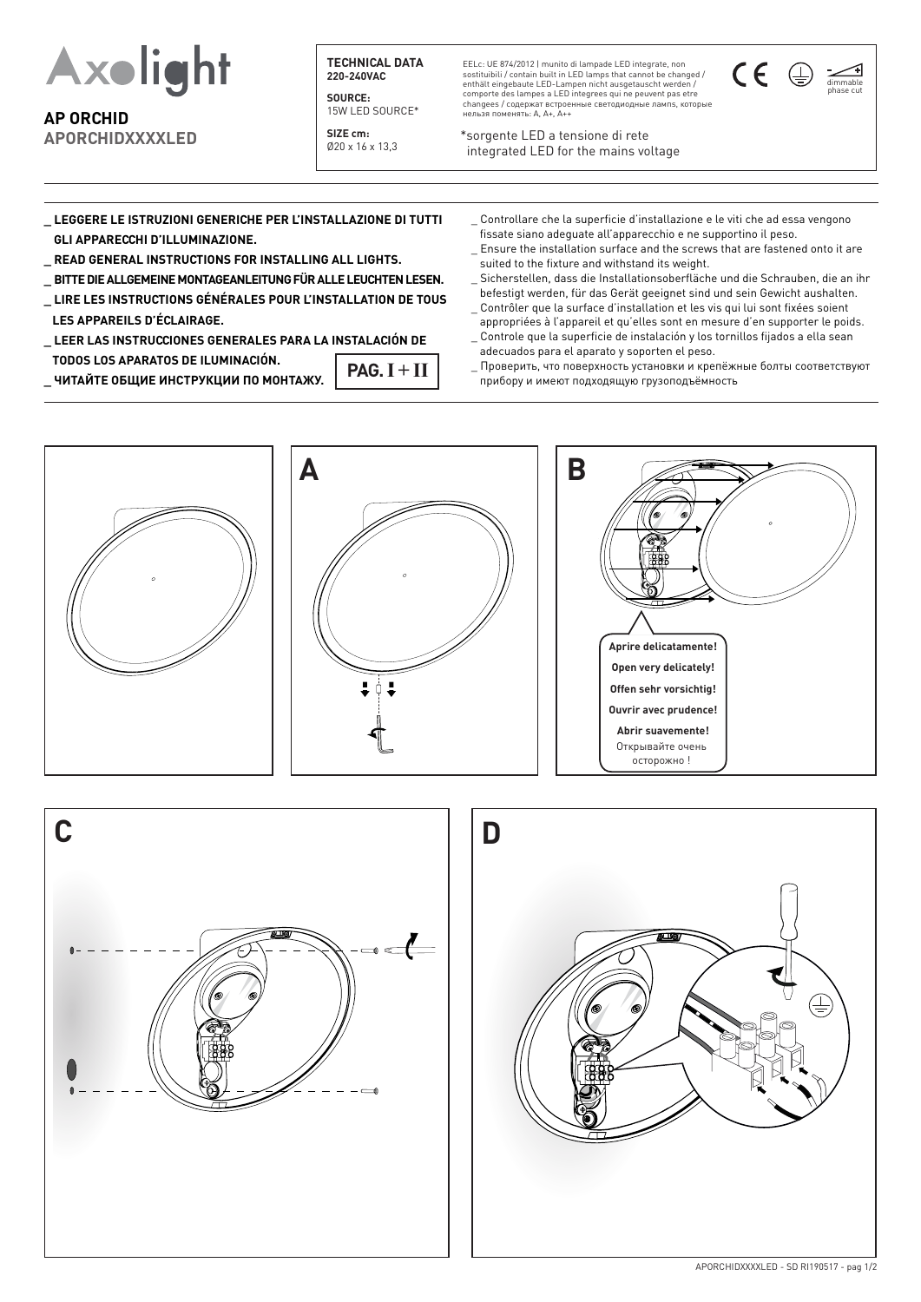

**AP ORCHID APORCHIDXXXXLED**

**TECHNICAL DATA 220-240VAC**

**SOURCE:** 15W LED SOURCE\*

**SIZE cm:** Ø20 x 16 x 13,3

EELc: UE 874/2012 | munito di lampade LED integrate, non sostituibili / contain built in LED lamps that cannot be changed / enthält eingebaute LED-Lampen nicht ausgetauscht werden / comporte des lampes a LED integrees qui ne peuvent pas etre changees / содержат встроенные светодиодныe лампs, которые нельзя поменять: A, A+, A++

\*sorgente LED a tensione di rete integrated LED for the mains voltage

compatibility and performance must be verified  $\alpha$ 



**\_ LEGGERE LE ISTRUZIONI GENERICHE PER L'INSTALLAZIONE DI TUTTI GLI APPARECCHI D'ILLUMINAZIONE.**

- **\_ READ GENERAL INSTRUCTIONS FOR INSTALLING ALL LIGHTS.**
- **\_ BITTE DIE ALLGEMEINE MONTAGEANLEITUNG FÜR ALLE LEUCHTEN LESEN.**
- **\_ LIRE LES INSTRUCTIONS GÉNÉRALES POUR L'INSTALLATION DE TOUS LES APPAREILS D'ÉCLAIRAGE.**
- **\_ LEER LAS INSTRUCCIONES GENERALES PARA LA INSTALACIÓN DE TODOS LOS APARATOS DE ILUMINACIÓN.**  $PAG. I + II$

**\_ ЧИТАЙТЕ ОБЩИЕ ИНСТРУКЦИИ ПО МОНТАЖУ.**

- \_ Controllare che la superficie d'installazione e le viti che ad essa vengono fissate siano adeguate all'apparecchio e ne supportino il peso.
- \_ Ensure the installation surface and the screws that are fastened onto it are suited to the fixture and withstand its weight.
- Sicherstellen, dass die Installationsoberfläche und die Schrauben, die an ihr befestigt werden, für das Gerät geeignet sind und sein Gewicht aushalten.
- \_ Contrôler que la surface d'installation et les vis qui lui sont fixées soient appropriées à l'appareil et qu'elles sont en mesure d'en supporter le poids. \_ Controle que la superficie de instalación y los tornillos fijados a ella sean
- adecuados para el aparato y soporten el peso.
- \_ Проверить, что поверхность установки и крепёжные болты соответствуют прибору и имеют подходящую грузоподъёмность